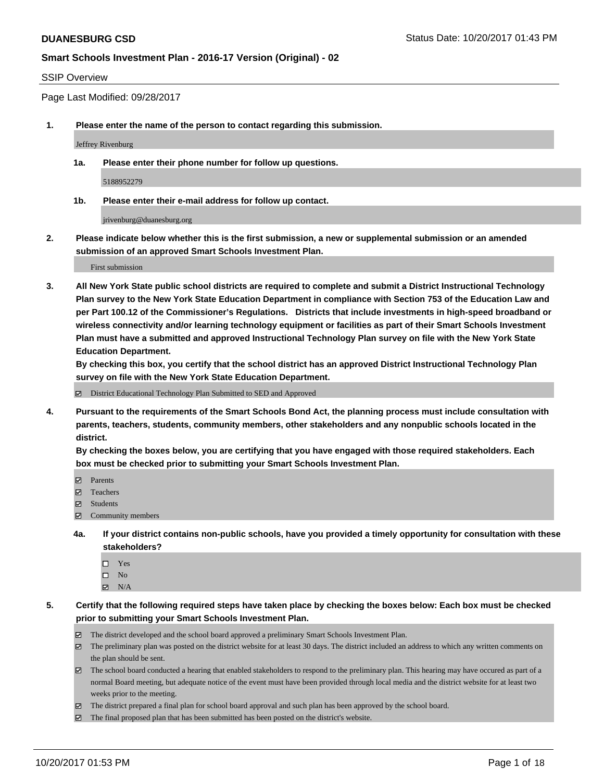### SSIP Overview

Page Last Modified: 09/28/2017

**1. Please enter the name of the person to contact regarding this submission.**

Jeffrey Rivenburg

**1a. Please enter their phone number for follow up questions.**

5188952279

**1b. Please enter their e-mail address for follow up contact.**

jrivenburg@duanesburg.org

**2. Please indicate below whether this is the first submission, a new or supplemental submission or an amended submission of an approved Smart Schools Investment Plan.**

First submission

**3. All New York State public school districts are required to complete and submit a District Instructional Technology Plan survey to the New York State Education Department in compliance with Section 753 of the Education Law and per Part 100.12 of the Commissioner's Regulations. Districts that include investments in high-speed broadband or wireless connectivity and/or learning technology equipment or facilities as part of their Smart Schools Investment Plan must have a submitted and approved Instructional Technology Plan survey on file with the New York State Education Department.** 

**By checking this box, you certify that the school district has an approved District Instructional Technology Plan survey on file with the New York State Education Department.**

District Educational Technology Plan Submitted to SED and Approved

**4. Pursuant to the requirements of the Smart Schools Bond Act, the planning process must include consultation with parents, teachers, students, community members, other stakeholders and any nonpublic schools located in the district.** 

**By checking the boxes below, you are certifying that you have engaged with those required stakeholders. Each box must be checked prior to submitting your Smart Schools Investment Plan.**

- **マ** Parents
- Teachers
- Students
- $\Xi$  Community members
- **4a. If your district contains non-public schools, have you provided a timely opportunity for consultation with these stakeholders?**
	- □ Yes
	- $\square$  No
	- $\boxtimes$  N/A

**5. Certify that the following required steps have taken place by checking the boxes below: Each box must be checked prior to submitting your Smart Schools Investment Plan.**

- The district developed and the school board approved a preliminary Smart Schools Investment Plan.
- The preliminary plan was posted on the district website for at least 30 days. The district included an address to which any written comments on the plan should be sent.
- The school board conducted a hearing that enabled stakeholders to respond to the preliminary plan. This hearing may have occured as part of a normal Board meeting, but adequate notice of the event must have been provided through local media and the district website for at least two weeks prior to the meeting.
- The district prepared a final plan for school board approval and such plan has been approved by the school board.
- $\boxtimes$  The final proposed plan that has been submitted has been posted on the district's website.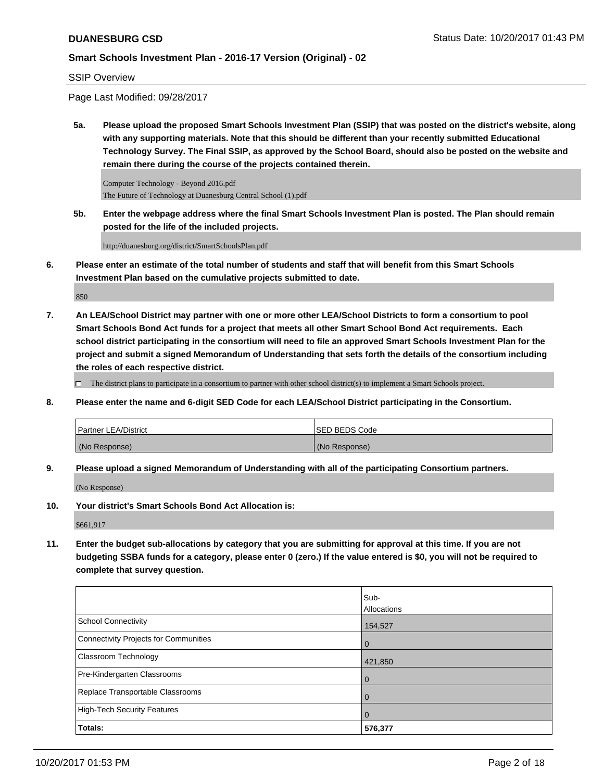### SSIP Overview

Page Last Modified: 09/28/2017

**5a. Please upload the proposed Smart Schools Investment Plan (SSIP) that was posted on the district's website, along with any supporting materials. Note that this should be different than your recently submitted Educational Technology Survey. The Final SSIP, as approved by the School Board, should also be posted on the website and remain there during the course of the projects contained therein.**

Computer Technology - Beyond 2016.pdf The Future of Technology at Duanesburg Central School (1).pdf

**5b. Enter the webpage address where the final Smart Schools Investment Plan is posted. The Plan should remain posted for the life of the included projects.**

http://duanesburg.org/district/SmartSchoolsPlan.pdf

**6. Please enter an estimate of the total number of students and staff that will benefit from this Smart Schools Investment Plan based on the cumulative projects submitted to date.**

850

**7. An LEA/School District may partner with one or more other LEA/School Districts to form a consortium to pool Smart Schools Bond Act funds for a project that meets all other Smart School Bond Act requirements. Each school district participating in the consortium will need to file an approved Smart Schools Investment Plan for the project and submit a signed Memorandum of Understanding that sets forth the details of the consortium including the roles of each respective district.**

 $\Box$  The district plans to participate in a consortium to partner with other school district(s) to implement a Smart Schools project.

**8. Please enter the name and 6-digit SED Code for each LEA/School District participating in the Consortium.**

| <b>Partner LEA/District</b> | <b>ISED BEDS Code</b> |
|-----------------------------|-----------------------|
| (No Response)               | (No Response)         |

**9. Please upload a signed Memorandum of Understanding with all of the participating Consortium partners.**

(No Response)

**10. Your district's Smart Schools Bond Act Allocation is:**

\$661,917

**11. Enter the budget sub-allocations by category that you are submitting for approval at this time. If you are not budgeting SSBA funds for a category, please enter 0 (zero.) If the value entered is \$0, you will not be required to complete that survey question.**

|                                       | Sub-               |
|---------------------------------------|--------------------|
|                                       | <b>Allocations</b> |
| <b>School Connectivity</b>            | 154,527            |
| Connectivity Projects for Communities | $\overline{0}$     |
| <b>Classroom Technology</b>           | 421,850            |
| Pre-Kindergarten Classrooms           | $\overline{0}$     |
| Replace Transportable Classrooms      | $\overline{0}$     |
| High-Tech Security Features           | $\overline{0}$     |
| Totals:                               | 576,377            |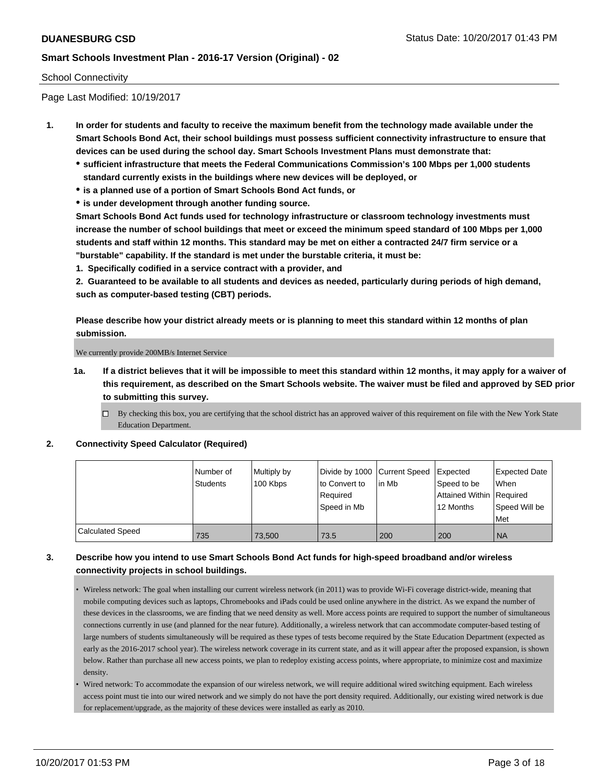### School Connectivity

Page Last Modified: 10/19/2017

- **1. In order for students and faculty to receive the maximum benefit from the technology made available under the Smart Schools Bond Act, their school buildings must possess sufficient connectivity infrastructure to ensure that devices can be used during the school day. Smart Schools Investment Plans must demonstrate that:**
	- **sufficient infrastructure that meets the Federal Communications Commission's 100 Mbps per 1,000 students standard currently exists in the buildings where new devices will be deployed, or**
	- **is a planned use of a portion of Smart Schools Bond Act funds, or**
	- **is under development through another funding source.**

**Smart Schools Bond Act funds used for technology infrastructure or classroom technology investments must increase the number of school buildings that meet or exceed the minimum speed standard of 100 Mbps per 1,000 students and staff within 12 months. This standard may be met on either a contracted 24/7 firm service or a "burstable" capability. If the standard is met under the burstable criteria, it must be:**

**1. Specifically codified in a service contract with a provider, and**

**2. Guaranteed to be available to all students and devices as needed, particularly during periods of high demand, such as computer-based testing (CBT) periods.**

**Please describe how your district already meets or is planning to meet this standard within 12 months of plan submission.**

We currently provide 200MB/s Internet Service

**1a. If a district believes that it will be impossible to meet this standard within 12 months, it may apply for a waiver of this requirement, as described on the Smart Schools website. The waiver must be filed and approved by SED prior to submitting this survey.**

**2. Connectivity Speed Calculator (Required)**

|                         | Number of<br><b>Students</b> | Multiply by<br>100 Kbps | Divide by 1000   Current Speed<br>to Convert to<br>Required<br>Speed in Mb | lin Mb | Expected<br>Speed to be<br>Attained Within Required<br>12 Months | <b>Expected Date</b><br><b>When</b><br>Speed Will be<br>Met |
|-------------------------|------------------------------|-------------------------|----------------------------------------------------------------------------|--------|------------------------------------------------------------------|-------------------------------------------------------------|
| <b>Calculated Speed</b> | 735                          | 73,500                  | 73.5                                                                       | 200    | 200                                                              | <b>NA</b>                                                   |

## **3. Describe how you intend to use Smart Schools Bond Act funds for high-speed broadband and/or wireless connectivity projects in school buildings.**

- Wireless network: The goal when installing our current wireless network (in 2011) was to provide Wi-Fi coverage district-wide, meaning that mobile computing devices such as laptops, Chromebooks and iPads could be used online anywhere in the district. As we expand the number of these devices in the classrooms, we are finding that we need density as well. More access points are required to support the number of simultaneous connections currently in use (and planned for the near future). Additionally, a wireless network that can accommodate computer-based testing of large numbers of students simultaneously will be required as these types of tests become required by the State Education Department (expected as early as the 2016-2017 school year). The wireless network coverage in its current state, and as it will appear after the proposed expansion, is shown below. Rather than purchase all new access points, we plan to redeploy existing access points, where appropriate, to minimize cost and maximize density.
- Wired network: To accommodate the expansion of our wireless network, we will require additional wired switching equipment. Each wireless access point must tie into our wired network and we simply do not have the port density required. Additionally, our existing wired network is due for replacement/upgrade, as the majority of these devices were installed as early as 2010.

 $\Box$  By checking this box, you are certifying that the school district has an approved waiver of this requirement on file with the New York State Education Department.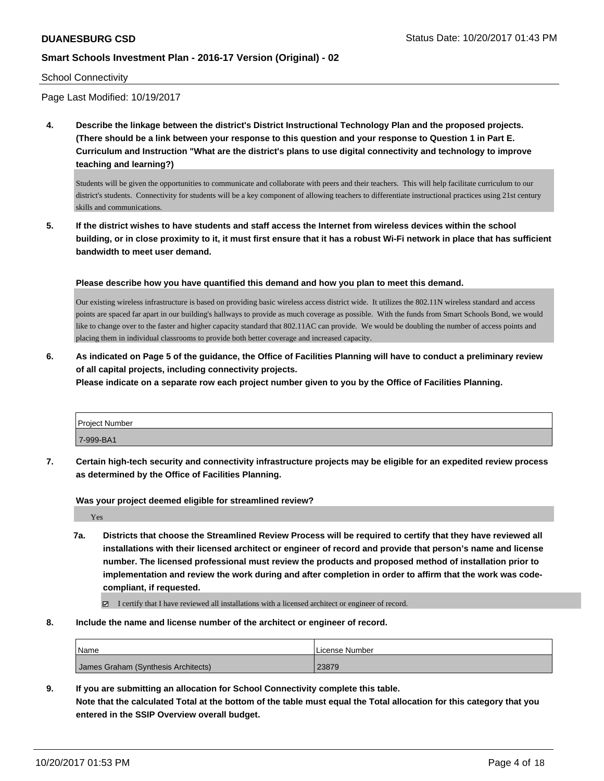### School Connectivity

Page Last Modified: 10/19/2017

**4. Describe the linkage between the district's District Instructional Technology Plan and the proposed projects. (There should be a link between your response to this question and your response to Question 1 in Part E. Curriculum and Instruction "What are the district's plans to use digital connectivity and technology to improve teaching and learning?)**

Students will be given the opportunities to communicate and collaborate with peers and their teachers. This will help facilitate curriculum to our district's students. Connectivity for students will be a key component of allowing teachers to differentiate instructional practices using 21st century skills and communications.

**5. If the district wishes to have students and staff access the Internet from wireless devices within the school building, or in close proximity to it, it must first ensure that it has a robust Wi-Fi network in place that has sufficient bandwidth to meet user demand.**

**Please describe how you have quantified this demand and how you plan to meet this demand.**

Our existing wireless infrastructure is based on providing basic wireless access district wide. It utilizes the 802.11N wireless standard and access points are spaced far apart in our building's hallways to provide as much coverage as possible. With the funds from Smart Schools Bond, we would like to change over to the faster and higher capacity standard that 802.11AC can provide. We would be doubling the number of access points and placing them in individual classrooms to provide both better coverage and increased capacity.

**6. As indicated on Page 5 of the guidance, the Office of Facilities Planning will have to conduct a preliminary review of all capital projects, including connectivity projects.**

**Please indicate on a separate row each project number given to you by the Office of Facilities Planning.**

| Project Number |  |
|----------------|--|
| 7-999-BA1      |  |

**7. Certain high-tech security and connectivity infrastructure projects may be eligible for an expedited review process as determined by the Office of Facilities Planning.**

**Was your project deemed eligible for streamlined review?**

Yes

**7a. Districts that choose the Streamlined Review Process will be required to certify that they have reviewed all installations with their licensed architect or engineer of record and provide that person's name and license number. The licensed professional must review the products and proposed method of installation prior to implementation and review the work during and after completion in order to affirm that the work was codecompliant, if requested.**

I certify that I have reviewed all installations with a licensed architect or engineer of record.

**8. Include the name and license number of the architect or engineer of record.**

| Name                                | License Number |
|-------------------------------------|----------------|
| James Graham (Synthesis Architects) | 23879          |

**9. If you are submitting an allocation for School Connectivity complete this table. Note that the calculated Total at the bottom of the table must equal the Total allocation for this category that you entered in the SSIP Overview overall budget.**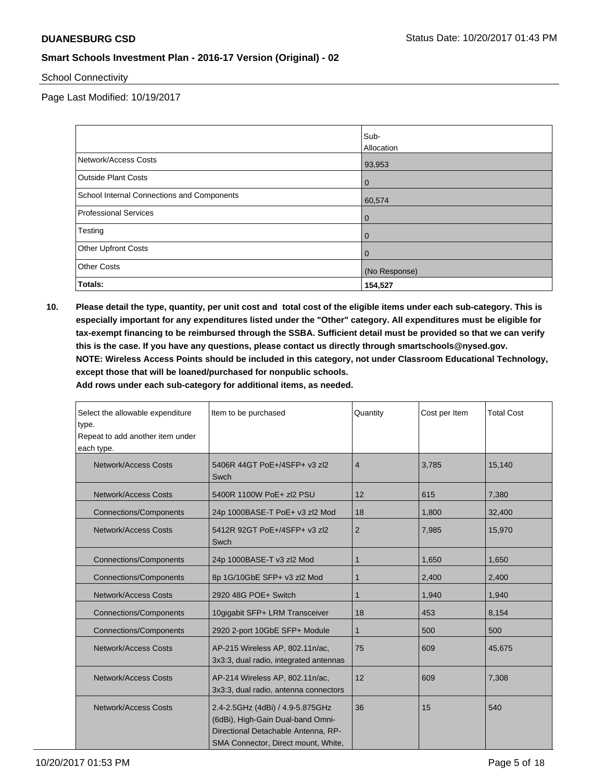School Connectivity

Page Last Modified: 10/19/2017

|                                            | Sub-           |
|--------------------------------------------|----------------|
|                                            | Allocation     |
| Network/Access Costs                       | 93,953         |
| <b>Outside Plant Costs</b>                 | $\mathbf 0$    |
| School Internal Connections and Components | 60,574         |
| <b>Professional Services</b>               | $\mathbf{0}$   |
| Testing                                    | $\overline{0}$ |
| <b>Other Upfront Costs</b>                 | $\overline{0}$ |
| <b>Other Costs</b>                         | (No Response)  |
| Totals:                                    | 154,527        |

**10. Please detail the type, quantity, per unit cost and total cost of the eligible items under each sub-category. This is especially important for any expenditures listed under the "Other" category. All expenditures must be eligible for tax-exempt financing to be reimbursed through the SSBA. Sufficient detail must be provided so that we can verify this is the case. If you have any questions, please contact us directly through smartschools@nysed.gov. NOTE: Wireless Access Points should be included in this category, not under Classroom Educational Technology, except those that will be loaned/purchased for nonpublic schools.**

| Select the allowable expenditure<br>type.<br>Repeat to add another item under<br>each type. | Item to be purchased                                                                                                                                | Quantity       | Cost per Item | <b>Total Cost</b> |
|---------------------------------------------------------------------------------------------|-----------------------------------------------------------------------------------------------------------------------------------------------------|----------------|---------------|-------------------|
| Network/Access Costs                                                                        | 5406R 44GT PoE+/4SFP+ v3 zl2<br>Swch                                                                                                                | $\overline{4}$ | 3,785         | 15,140            |
| Network/Access Costs                                                                        | 5400R 1100W PoE+ zl2 PSU                                                                                                                            | 12             | 615           | 7,380             |
| <b>Connections/Components</b>                                                               | 24p 1000BASE-T PoE+ v3 zl2 Mod                                                                                                                      | 18             | 1,800         | 32,400            |
| Network/Access Costs                                                                        | 5412R 92GT PoE+/4SFP+ v3 zl2<br>Swch                                                                                                                | $\overline{2}$ | 7,985         | 15,970            |
| <b>Connections/Components</b>                                                               | 24p 1000BASE-T v3 zl2 Mod                                                                                                                           | 1              | 1,650         | 1,650             |
| <b>Connections/Components</b>                                                               | 8p 1G/10GbE SFP+ v3 zl2 Mod                                                                                                                         | 1              | 2,400         | 2,400             |
| Network/Access Costs                                                                        | 2920 48G POE+ Switch                                                                                                                                | 1              | 1,940         | 1,940             |
| <b>Connections/Components</b>                                                               | 10gigabit SFP+ LRM Transceiver                                                                                                                      | 18             | 453           | 8,154             |
| <b>Connections/Components</b>                                                               | 2920 2-port 10GbE SFP+ Module                                                                                                                       | 1              | 500           | 500               |
| <b>Network/Access Costs</b>                                                                 | AP-215 Wireless AP, 802.11n/ac,<br>3x3:3, dual radio, integrated antennas                                                                           | 75             | 609           | 45,675            |
| Network/Access Costs                                                                        | AP-214 Wireless AP, 802.11n/ac,<br>3x3:3, dual radio, antenna connectors                                                                            | 12             | 609           | 7,308             |
| <b>Network/Access Costs</b>                                                                 | 2.4-2.5GHz (4dBi) / 4.9-5.875GHz<br>(6dBi), High-Gain Dual-band Omni-<br>Directional Detachable Antenna, RP-<br>SMA Connector, Direct mount, White, | 36             | 15            | 540               |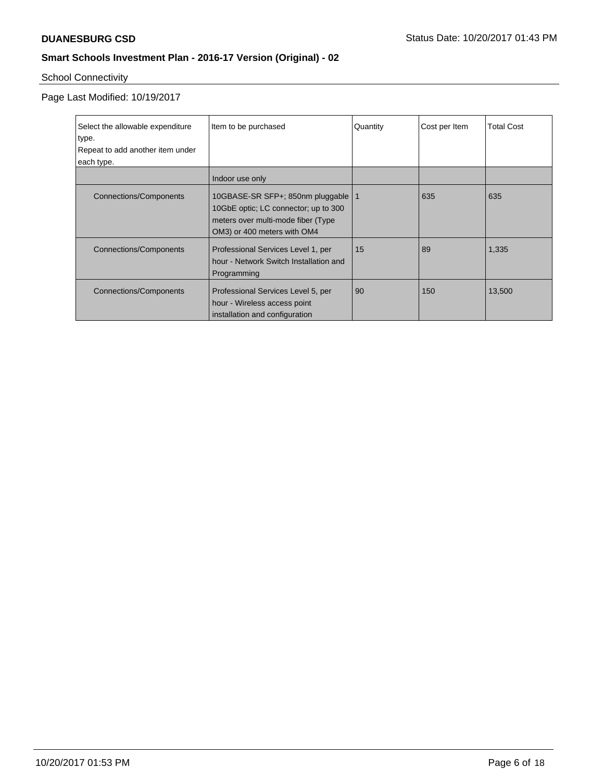# School Connectivity

Page Last Modified: 10/19/2017

| Select the allowable expenditure<br>type.<br>Repeat to add another item under |                               | Item to be purchased                                                                                                                              | Quantity | Cost per Item | <b>Total Cost</b> |
|-------------------------------------------------------------------------------|-------------------------------|---------------------------------------------------------------------------------------------------------------------------------------------------|----------|---------------|-------------------|
|                                                                               | each type.                    |                                                                                                                                                   |          |               |                   |
|                                                                               |                               | Indoor use only                                                                                                                                   |          |               |                   |
|                                                                               | <b>Connections/Components</b> | 10GBASE-SR SFP+; 850nm pluggable   1<br>10GbE optic; LC connector; up to 300<br>meters over multi-mode fiber (Type<br>OM3) or 400 meters with OM4 |          | 635           | 635               |
|                                                                               | Connections/Components        | Professional Services Level 1, per<br>hour - Network Switch Installation and<br>Programming                                                       | 15       | 89            | 1,335             |
|                                                                               | <b>Connections/Components</b> | Professional Services Level 5, per<br>hour - Wireless access point<br>installation and configuration                                              | 90       | 150           | 13,500            |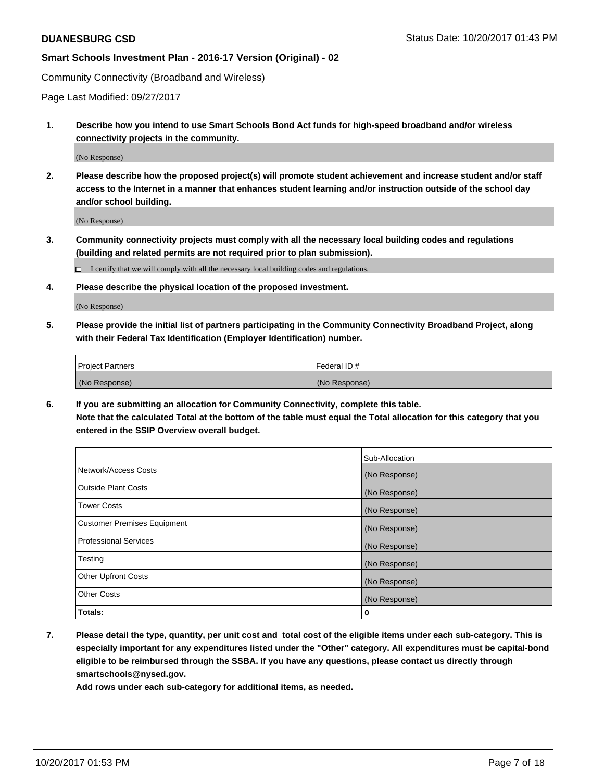Community Connectivity (Broadband and Wireless)

Page Last Modified: 09/27/2017

**1. Describe how you intend to use Smart Schools Bond Act funds for high-speed broadband and/or wireless connectivity projects in the community.**

(No Response)

**2. Please describe how the proposed project(s) will promote student achievement and increase student and/or staff access to the Internet in a manner that enhances student learning and/or instruction outside of the school day and/or school building.**

(No Response)

- **3. Community connectivity projects must comply with all the necessary local building codes and regulations (building and related permits are not required prior to plan submission).**
	- $\Box$  I certify that we will comply with all the necessary local building codes and regulations.
- **4. Please describe the physical location of the proposed investment.**

(No Response)

**5. Please provide the initial list of partners participating in the Community Connectivity Broadband Project, along with their Federal Tax Identification (Employer Identification) number.**

| <b>Project Partners</b> | Federal ID #  |
|-------------------------|---------------|
| (No Response)           | (No Response) |

**6. If you are submitting an allocation for Community Connectivity, complete this table. Note that the calculated Total at the bottom of the table must equal the Total allocation for this category that you entered in the SSIP Overview overall budget.**

|                                    | Sub-Allocation |
|------------------------------------|----------------|
| Network/Access Costs               | (No Response)  |
| <b>Outside Plant Costs</b>         | (No Response)  |
| <b>Tower Costs</b>                 | (No Response)  |
| <b>Customer Premises Equipment</b> | (No Response)  |
| <b>Professional Services</b>       | (No Response)  |
| Testing                            | (No Response)  |
| <b>Other Upfront Costs</b>         | (No Response)  |
| <b>Other Costs</b>                 | (No Response)  |
| Totals:                            | 0              |

**7. Please detail the type, quantity, per unit cost and total cost of the eligible items under each sub-category. This is especially important for any expenditures listed under the "Other" category. All expenditures must be capital-bond eligible to be reimbursed through the SSBA. If you have any questions, please contact us directly through smartschools@nysed.gov.**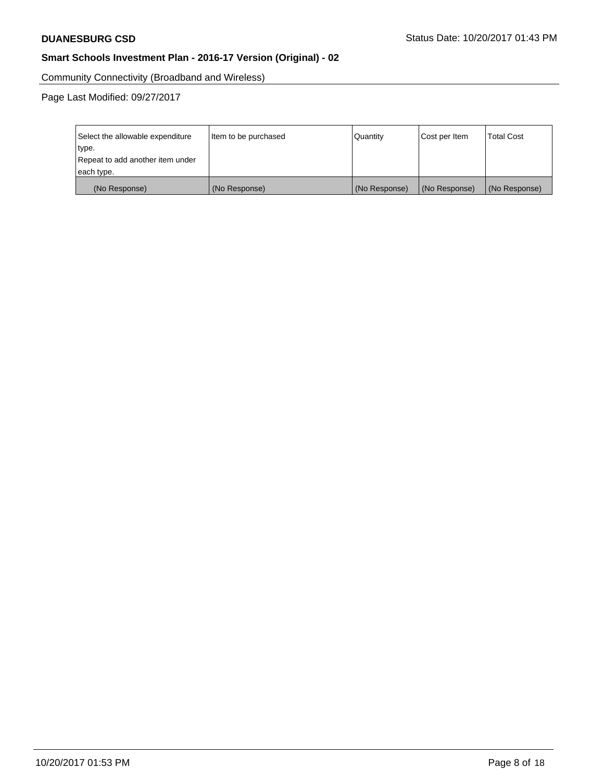Community Connectivity (Broadband and Wireless)

Page Last Modified: 09/27/2017

| Select the allowable expenditure<br>type.<br>Repeat to add another item under | Item to be purchased | Quantity      | Cost per Item | <b>Total Cost</b> |
|-------------------------------------------------------------------------------|----------------------|---------------|---------------|-------------------|
| each type.                                                                    |                      |               |               |                   |
| (No Response)                                                                 | (No Response)        | (No Response) | (No Response) | (No Response)     |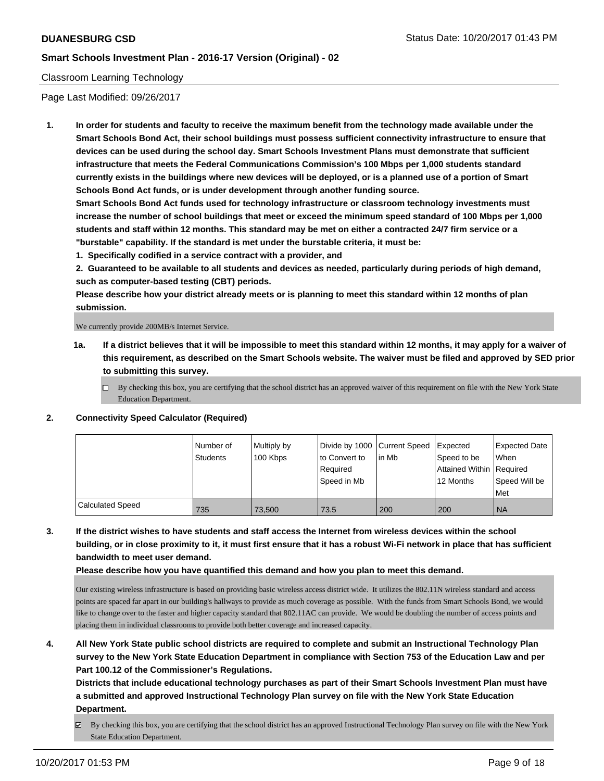### Classroom Learning Technology

Page Last Modified: 09/26/2017

**1. In order for students and faculty to receive the maximum benefit from the technology made available under the Smart Schools Bond Act, their school buildings must possess sufficient connectivity infrastructure to ensure that devices can be used during the school day. Smart Schools Investment Plans must demonstrate that sufficient infrastructure that meets the Federal Communications Commission's 100 Mbps per 1,000 students standard currently exists in the buildings where new devices will be deployed, or is a planned use of a portion of Smart Schools Bond Act funds, or is under development through another funding source.**

**Smart Schools Bond Act funds used for technology infrastructure or classroom technology investments must increase the number of school buildings that meet or exceed the minimum speed standard of 100 Mbps per 1,000 students and staff within 12 months. This standard may be met on either a contracted 24/7 firm service or a "burstable" capability. If the standard is met under the burstable criteria, it must be:**

**1. Specifically codified in a service contract with a provider, and**

**2. Guaranteed to be available to all students and devices as needed, particularly during periods of high demand, such as computer-based testing (CBT) periods.**

**Please describe how your district already meets or is planning to meet this standard within 12 months of plan submission.**

We currently provide 200MB/s Internet Service.

- **1a. If a district believes that it will be impossible to meet this standard within 12 months, it may apply for a waiver of this requirement, as described on the Smart Schools website. The waiver must be filed and approved by SED prior to submitting this survey.**
	- $\Box$  By checking this box, you are certifying that the school district has an approved waiver of this requirement on file with the New York State Education Department.
- **2. Connectivity Speed Calculator (Required)**

|                         | l Number of<br><b>Students</b> | Multiply by<br>100 Kbps | Divide by 1000 Current Speed<br>to Convert to<br>Required<br>Speed in Mb | l in Mb | Expected<br>Speed to be<br>Attained Within   Required<br>12 Months | Expected Date<br>When<br>Speed Will be<br>Met |
|-------------------------|--------------------------------|-------------------------|--------------------------------------------------------------------------|---------|--------------------------------------------------------------------|-----------------------------------------------|
| <b>Calculated Speed</b> | 735                            | 73,500                  | 73.5                                                                     | 200     | 200                                                                | <b>NA</b>                                     |

**3. If the district wishes to have students and staff access the Internet from wireless devices within the school building, or in close proximity to it, it must first ensure that it has a robust Wi-Fi network in place that has sufficient bandwidth to meet user demand.**

**Please describe how you have quantified this demand and how you plan to meet this demand.**

Our existing wireless infrastructure is based on providing basic wireless access district wide. It utilizes the 802.11N wireless standard and access points are spaced far apart in our building's hallways to provide as much coverage as possible. With the funds from Smart Schools Bond, we would like to change over to the faster and higher capacity standard that 802.11AC can provide. We would be doubling the number of access points and placing them in individual classrooms to provide both better coverage and increased capacity.

**4. All New York State public school districts are required to complete and submit an Instructional Technology Plan survey to the New York State Education Department in compliance with Section 753 of the Education Law and per Part 100.12 of the Commissioner's Regulations.**

**Districts that include educational technology purchases as part of their Smart Schools Investment Plan must have a submitted and approved Instructional Technology Plan survey on file with the New York State Education Department.**

By checking this box, you are certifying that the school district has an approved Instructional Technology Plan survey on file with the New York State Education Department.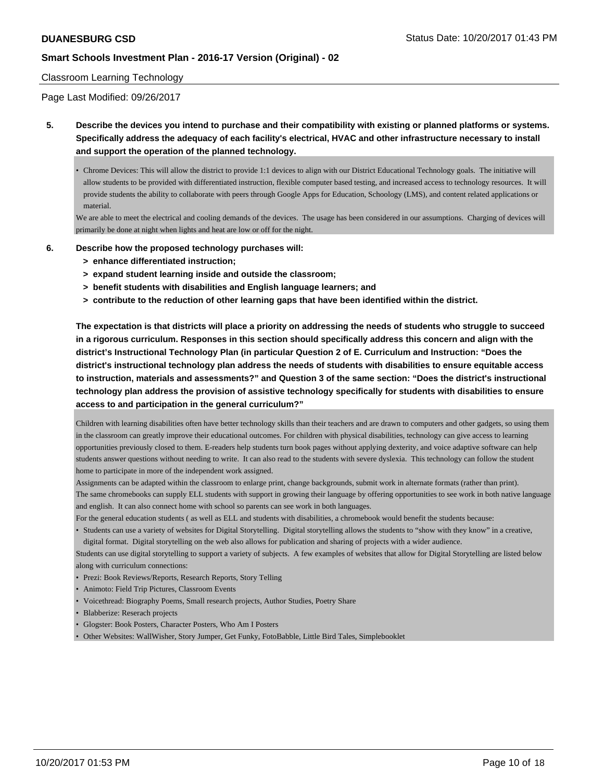### Classroom Learning Technology

Page Last Modified: 09/26/2017

**5. Describe the devices you intend to purchase and their compatibility with existing or planned platforms or systems. Specifically address the adequacy of each facility's electrical, HVAC and other infrastructure necessary to install and support the operation of the planned technology.**

• Chrome Devices: This will allow the district to provide 1:1 devices to align with our District Educational Technology goals. The initiative will allow students to be provided with differentiated instruction, flexible computer based testing, and increased access to technology resources. It will provide students the ability to collaborate with peers through Google Apps for Education, Schoology (LMS), and content related applications or material.

We are able to meet the electrical and cooling demands of the devices. The usage has been considered in our assumptions. Charging of devices will primarily be done at night when lights and heat are low or off for the night.

- **6. Describe how the proposed technology purchases will:**
	- **> enhance differentiated instruction;**
	- **> expand student learning inside and outside the classroom;**
	- **> benefit students with disabilities and English language learners; and**
	- **> contribute to the reduction of other learning gaps that have been identified within the district.**

**The expectation is that districts will place a priority on addressing the needs of students who struggle to succeed in a rigorous curriculum. Responses in this section should specifically address this concern and align with the district's Instructional Technology Plan (in particular Question 2 of E. Curriculum and Instruction: "Does the district's instructional technology plan address the needs of students with disabilities to ensure equitable access to instruction, materials and assessments?" and Question 3 of the same section: "Does the district's instructional technology plan address the provision of assistive technology specifically for students with disabilities to ensure access to and participation in the general curriculum?"**

Children with learning disabilities often have better technology skills than their teachers and are drawn to computers and other gadgets, so using them in the classroom can greatly improve their educational outcomes. For children with physical disabilities, technology can give access to learning opportunities previously closed to them. E-readers help students turn book pages without applying dexterity, and voice adaptive software can help students answer questions without needing to write. It can also read to the students with severe dyslexia. This technology can follow the student home to participate in more of the independent work assigned.

Assignments can be adapted within the classroom to enlarge print, change backgrounds, submit work in alternate formats (rather than print). The same chromebooks can supply ELL students with support in growing their language by offering opportunities to see work in both native language and english. It can also connect home with school so parents can see work in both languages.

For the general education students (as well as ELL and students with disabilities, a chromebook would benefit the students because:

• Students can use a variety of websites for Digital Storytelling. Digital storytelling allows the students to "show with they know" in a creative, digital format. Digital storytelling on the web also allows for publication and sharing of projects with a wider audience.

Students can use digital storytelling to support a variety of subjects. A few examples of websites that allow for Digital Storytelling are listed below along with curriculum connections:

- Prezi: Book Reviews/Reports, Research Reports, Story Telling
- Animoto: Field Trip Pictures, Classroom Events
- Voicethread: Biography Poems, Small research projects, Author Studies, Poetry Share
- Blabberize: Reserach projects
- Glogster: Book Posters, Character Posters, Who Am I Posters
- Other Websites: WallWisher, Story Jumper, Get Funky, FotoBabble, Little Bird Tales, Simplebooklet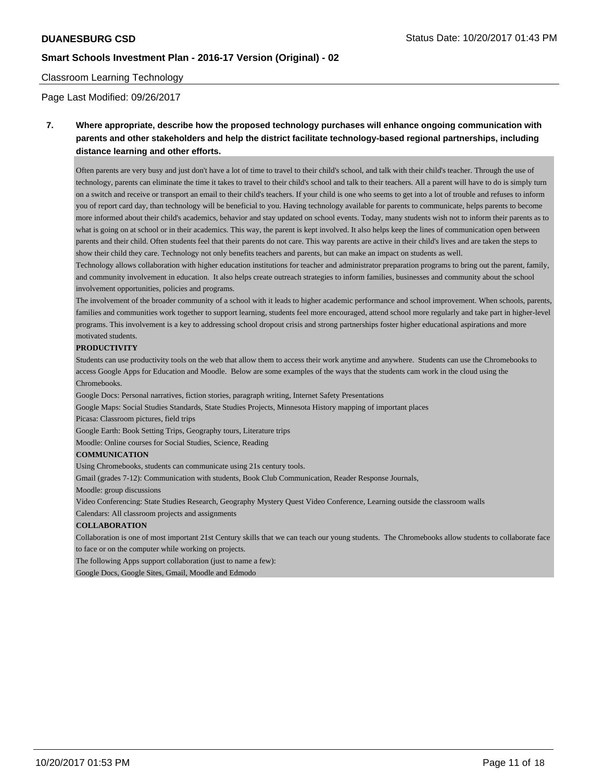### Classroom Learning Technology

Page Last Modified: 09/26/2017

## **7. Where appropriate, describe how the proposed technology purchases will enhance ongoing communication with parents and other stakeholders and help the district facilitate technology-based regional partnerships, including distance learning and other efforts.**

Often parents are very busy and just don't have a lot of time to travel to their child's school, and talk with their child's teacher. Through the use of technology, parents can eliminate the time it takes to travel to their child's school and talk to their teachers. All a parent will have to do is simply turn on a switch and receive or transport an email to their child's teachers. If your child is one who seems to get into a lot of trouble and refuses to inform you of report card day, than technology will be beneficial to you. Having technology available for parents to communicate, helps parents to become more informed about their child's academics, behavior and stay updated on school events. Today, many students wish not to inform their parents as to what is going on at school or in their academics. This way, the parent is kept involved. It also helps keep the lines of communication open between parents and their child. Often students feel that their parents do not care. This way parents are active in their child's lives and are taken the steps to show their child they care. Technology not only benefits teachers and parents, but can make an impact on students as well.

Technology allows collaboration with higher education institutions for teacher and administrator preparation programs to bring out the parent, family, and community involvement in education. It also helps create outreach strategies to inform families, businesses and community about the school involvement opportunities, policies and programs.

The involvement of the broader community of a school with it leads to higher academic performance and school improvement. When schools, parents, families and communities work together to support learning, students feel more encouraged, attend school more regularly and take part in higher-level programs. This involvement is a key to addressing school dropout crisis and strong partnerships foster higher educational aspirations and more motivated students.

#### **PRODUCTIVITY**

Students can use productivity tools on the web that allow them to access their work anytime and anywhere. Students can use the Chromebooks to access Google Apps for Education and Moodle. Below are some examples of the ways that the students cam work in the cloud using the Chromebooks.

Google Docs: Personal narratives, fiction stories, paragraph writing, Internet Safety Presentations

Google Maps: Social Studies Standards, State Studies Projects, Minnesota History mapping of important places

Picasa: Classroom pictures, field trips

Google Earth: Book Setting Trips, Geography tours, Literature trips

Moodle: Online courses for Social Studies, Science, Reading

### **COMMUNICATION**

Using Chromebooks, students can communicate using 21s century tools.

Gmail (grades 7-12): Communication with students, Book Club Communication, Reader Response Journals,

Moodle: group discussions

Video Conferencing: State Studies Research, Geography Mystery Quest Video Conference, Learning outside the classroom walls

Calendars: All classroom projects and assignments

#### **COLLABORATION**

Collaboration is one of most important 21st Century skills that we can teach our young students. The Chromebooks allow students to collaborate face to face or on the computer while working on projects.

The following Apps support collaboration (just to name a few):

Google Docs, Google Sites, Gmail, Moodle and Edmodo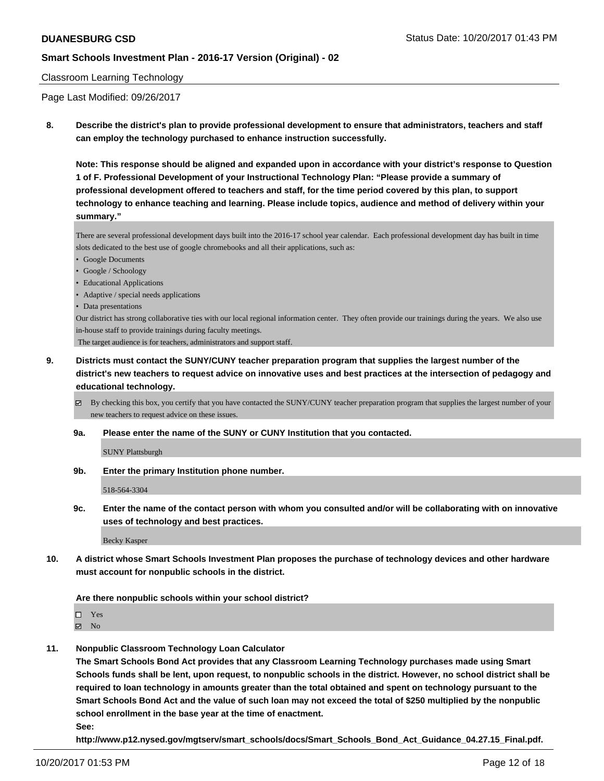### Classroom Learning Technology

Page Last Modified: 09/26/2017

**8. Describe the district's plan to provide professional development to ensure that administrators, teachers and staff can employ the technology purchased to enhance instruction successfully.**

**Note: This response should be aligned and expanded upon in accordance with your district's response to Question 1 of F. Professional Development of your Instructional Technology Plan: "Please provide a summary of professional development offered to teachers and staff, for the time period covered by this plan, to support technology to enhance teaching and learning. Please include topics, audience and method of delivery within your summary."**

There are several professional development days built into the 2016-17 school year calendar. Each professional development day has built in time slots dedicated to the best use of google chromebooks and all their applications, such as:

- Google Documents
- Google / Schoology
- Educational Applications
- Adaptive / special needs applications
- Data presentations

Our district has strong collaborative ties with our local regional information center. They often provide our trainings during the years. We also use in-house staff to provide trainings during faculty meetings.

The target audience is for teachers, administrators and support staff.

**9. Districts must contact the SUNY/CUNY teacher preparation program that supplies the largest number of the district's new teachers to request advice on innovative uses and best practices at the intersection of pedagogy and educational technology.**

 $\boxtimes$  By checking this box, you certify that you have contacted the SUNY/CUNY teacher preparation program that supplies the largest number of your new teachers to request advice on these issues.

**9a. Please enter the name of the SUNY or CUNY Institution that you contacted.**

SUNY Plattsburgh

**9b. Enter the primary Institution phone number.**

518-564-3304

**9c. Enter the name of the contact person with whom you consulted and/or will be collaborating with on innovative uses of technology and best practices.**

Becky Kasper

**10. A district whose Smart Schools Investment Plan proposes the purchase of technology devices and other hardware must account for nonpublic schools in the district.**

#### **Are there nonpublic schools within your school district?**

Yes

 $\boxtimes$  No

**11. Nonpublic Classroom Technology Loan Calculator**

**The Smart Schools Bond Act provides that any Classroom Learning Technology purchases made using Smart Schools funds shall be lent, upon request, to nonpublic schools in the district. However, no school district shall be required to loan technology in amounts greater than the total obtained and spent on technology pursuant to the Smart Schools Bond Act and the value of such loan may not exceed the total of \$250 multiplied by the nonpublic school enrollment in the base year at the time of enactment.**

**See:**

**http://www.p12.nysed.gov/mgtserv/smart\_schools/docs/Smart\_Schools\_Bond\_Act\_Guidance\_04.27.15\_Final.pdf.**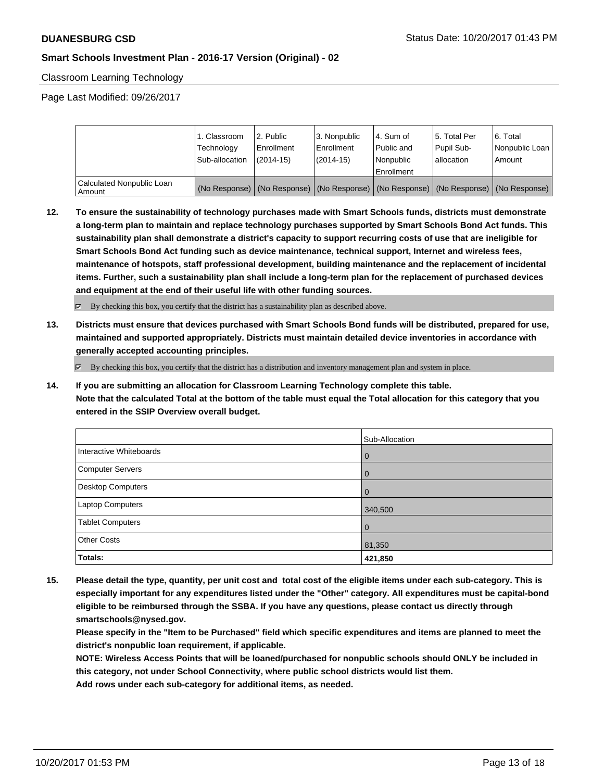Classroom Learning Technology

Page Last Modified: 09/26/2017

|                                       | 1. Classroom<br>Technology<br>Sub-allocation | 2. Public<br>l Enrollment<br>$(2014 - 15)$ | l 3. Nonpublic<br>l Enrollment<br>$(2014 - 15)$ | l 4. Sum of<br>Public and<br>l Nonpublic<br>Enrollment | 15. Total Per<br>Pupil Sub-<br>allocation | l 6. Total<br>Nonpublic Loan<br>l Amount                                                      |
|---------------------------------------|----------------------------------------------|--------------------------------------------|-------------------------------------------------|--------------------------------------------------------|-------------------------------------------|-----------------------------------------------------------------------------------------------|
| Calculated Nonpublic Loan<br>l Amount |                                              |                                            |                                                 |                                                        |                                           | (No Response)   (No Response)   (No Response)   (No Response)   (No Response)   (No Response) |

**12. To ensure the sustainability of technology purchases made with Smart Schools funds, districts must demonstrate a long-term plan to maintain and replace technology purchases supported by Smart Schools Bond Act funds. This sustainability plan shall demonstrate a district's capacity to support recurring costs of use that are ineligible for Smart Schools Bond Act funding such as device maintenance, technical support, Internet and wireless fees, maintenance of hotspots, staff professional development, building maintenance and the replacement of incidental items. Further, such a sustainability plan shall include a long-term plan for the replacement of purchased devices and equipment at the end of their useful life with other funding sources.**

By checking this box, you certify that the district has a sustainability plan as described above.

**13. Districts must ensure that devices purchased with Smart Schools Bond funds will be distributed, prepared for use, maintained and supported appropriately. Districts must maintain detailed device inventories in accordance with generally accepted accounting principles.**

 $\boxtimes$  By checking this box, you certify that the district has a distribution and inventory management plan and system in place.

**14. If you are submitting an allocation for Classroom Learning Technology complete this table. Note that the calculated Total at the bottom of the table must equal the Total allocation for this category that you entered in the SSIP Overview overall budget.**

|                         | Sub-Allocation |
|-------------------------|----------------|
| Interactive Whiteboards | $\overline{0}$ |
| Computer Servers        | $\overline{0}$ |
| Desktop Computers       | $\overline{0}$ |
| <b>Laptop Computers</b> | 340,500        |
| <b>Tablet Computers</b> | $\overline{0}$ |
| <b>Other Costs</b>      | 81,350         |
| Totals:                 | 421,850        |

**15. Please detail the type, quantity, per unit cost and total cost of the eligible items under each sub-category. This is especially important for any expenditures listed under the "Other" category. All expenditures must be capital-bond eligible to be reimbursed through the SSBA. If you have any questions, please contact us directly through smartschools@nysed.gov.**

**Please specify in the "Item to be Purchased" field which specific expenditures and items are planned to meet the district's nonpublic loan requirement, if applicable.**

**NOTE: Wireless Access Points that will be loaned/purchased for nonpublic schools should ONLY be included in this category, not under School Connectivity, where public school districts would list them.**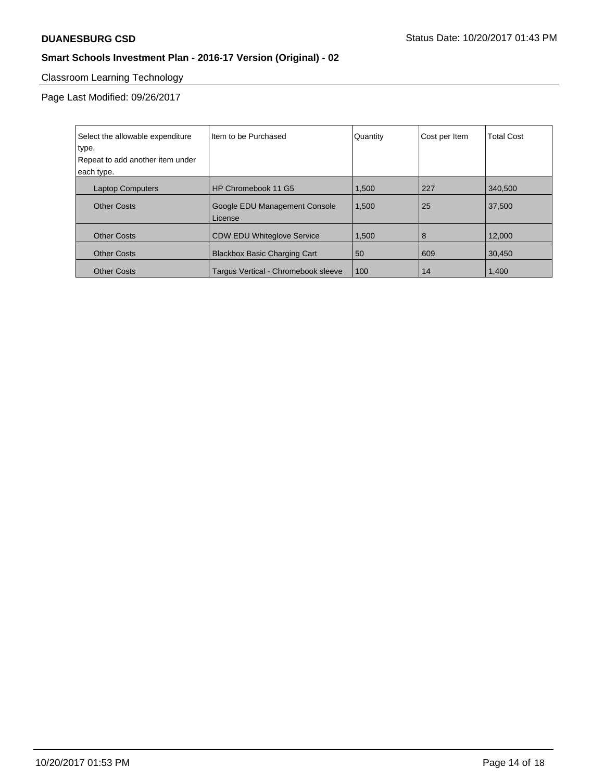# Classroom Learning Technology

Page Last Modified: 09/26/2017

| Select the allowable expenditure<br>type. | Item to be Purchased                     | Quantity | Cost per Item | <b>Total Cost</b> |
|-------------------------------------------|------------------------------------------|----------|---------------|-------------------|
| Repeat to add another item under          |                                          |          |               |                   |
| each type.                                |                                          |          |               |                   |
| <b>Laptop Computers</b>                   | HP Chromebook 11 G5                      | 1,500    | 227           | 340.500           |
| <b>Other Costs</b>                        | Google EDU Management Console<br>License | 1,500    | 25            | 37.500            |
| <b>Other Costs</b>                        | <b>CDW EDU Whiteglove Service</b>        | 1.500    | 8             | 12.000            |
| <b>Other Costs</b>                        | <b>Blackbox Basic Charging Cart</b>      | 50       | 609           | 30,450            |
| <b>Other Costs</b>                        | Targus Vertical - Chromebook sleeve      | 100      | 14            | 1,400             |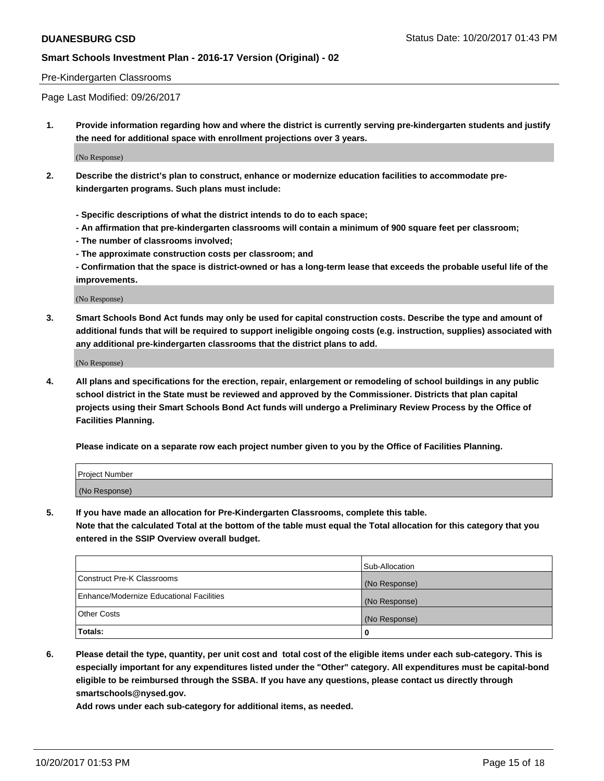### Pre-Kindergarten Classrooms

Page Last Modified: 09/26/2017

**1. Provide information regarding how and where the district is currently serving pre-kindergarten students and justify the need for additional space with enrollment projections over 3 years.**

(No Response)

- **2. Describe the district's plan to construct, enhance or modernize education facilities to accommodate prekindergarten programs. Such plans must include:**
	- **Specific descriptions of what the district intends to do to each space;**
	- **An affirmation that pre-kindergarten classrooms will contain a minimum of 900 square feet per classroom;**
	- **The number of classrooms involved;**
	- **The approximate construction costs per classroom; and**

**- Confirmation that the space is district-owned or has a long-term lease that exceeds the probable useful life of the improvements.**

(No Response)

**3. Smart Schools Bond Act funds may only be used for capital construction costs. Describe the type and amount of additional funds that will be required to support ineligible ongoing costs (e.g. instruction, supplies) associated with any additional pre-kindergarten classrooms that the district plans to add.**

(No Response)

**4. All plans and specifications for the erection, repair, enlargement or remodeling of school buildings in any public school district in the State must be reviewed and approved by the Commissioner. Districts that plan capital projects using their Smart Schools Bond Act funds will undergo a Preliminary Review Process by the Office of Facilities Planning.**

**Please indicate on a separate row each project number given to you by the Office of Facilities Planning.**

| Project Number |  |
|----------------|--|
| (No Response)  |  |

**5. If you have made an allocation for Pre-Kindergarten Classrooms, complete this table.**

**Note that the calculated Total at the bottom of the table must equal the Total allocation for this category that you entered in the SSIP Overview overall budget.**

|                                          | Sub-Allocation |
|------------------------------------------|----------------|
| Construct Pre-K Classrooms               | (No Response)  |
| Enhance/Modernize Educational Facilities | (No Response)  |
| <b>Other Costs</b>                       | (No Response)  |
| <b>Totals:</b>                           | 0              |

**6. Please detail the type, quantity, per unit cost and total cost of the eligible items under each sub-category. This is especially important for any expenditures listed under the "Other" category. All expenditures must be capital-bond eligible to be reimbursed through the SSBA. If you have any questions, please contact us directly through smartschools@nysed.gov.**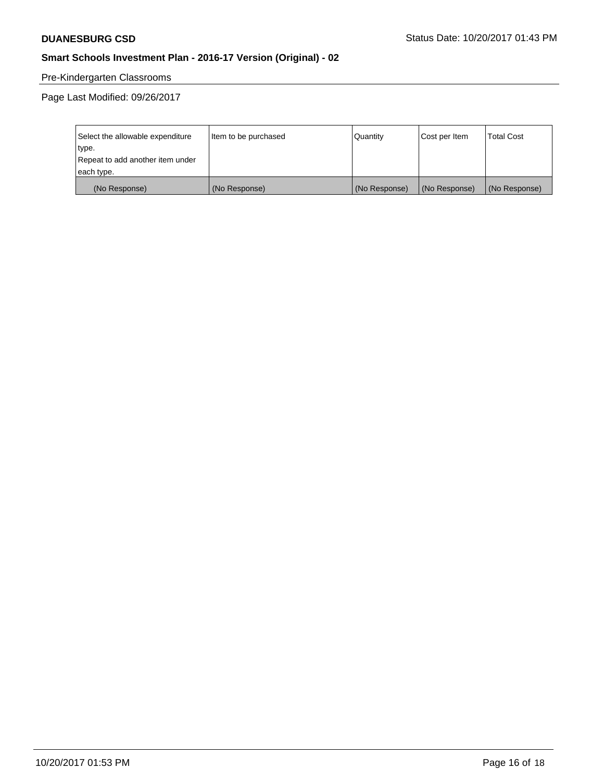# Pre-Kindergarten Classrooms

Page Last Modified: 09/26/2017

| Select the allowable expenditure | Item to be purchased | Quantity      | Cost per Item | <b>Total Cost</b> |
|----------------------------------|----------------------|---------------|---------------|-------------------|
| type.                            |                      |               |               |                   |
| Repeat to add another item under |                      |               |               |                   |
| each type.                       |                      |               |               |                   |
| (No Response)                    | (No Response)        | (No Response) | (No Response) | (No Response)     |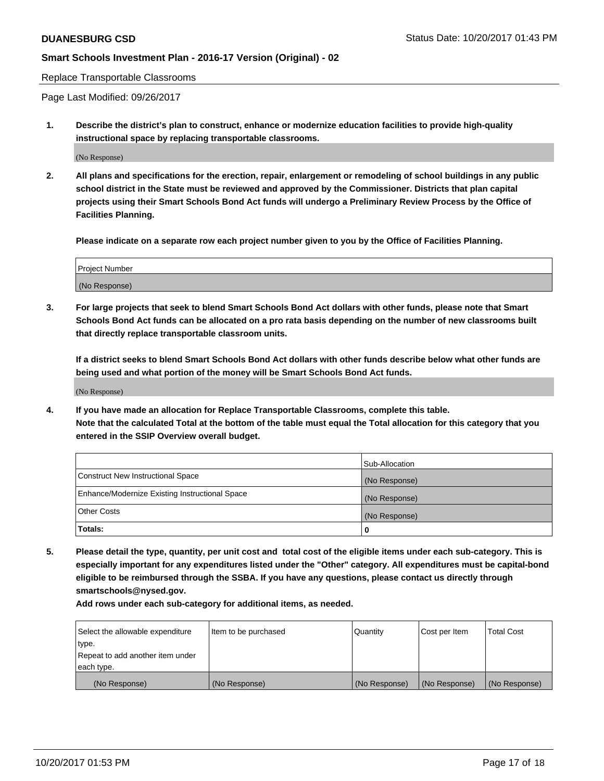Replace Transportable Classrooms

Page Last Modified: 09/26/2017

**1. Describe the district's plan to construct, enhance or modernize education facilities to provide high-quality instructional space by replacing transportable classrooms.**

(No Response)

**2. All plans and specifications for the erection, repair, enlargement or remodeling of school buildings in any public school district in the State must be reviewed and approved by the Commissioner. Districts that plan capital projects using their Smart Schools Bond Act funds will undergo a Preliminary Review Process by the Office of Facilities Planning.**

**Please indicate on a separate row each project number given to you by the Office of Facilities Planning.**

| <b>Project Number</b> |  |
|-----------------------|--|
| (No Response)         |  |

**3. For large projects that seek to blend Smart Schools Bond Act dollars with other funds, please note that Smart Schools Bond Act funds can be allocated on a pro rata basis depending on the number of new classrooms built that directly replace transportable classroom units.**

**If a district seeks to blend Smart Schools Bond Act dollars with other funds describe below what other funds are being used and what portion of the money will be Smart Schools Bond Act funds.**

(No Response)

**4. If you have made an allocation for Replace Transportable Classrooms, complete this table. Note that the calculated Total at the bottom of the table must equal the Total allocation for this category that you entered in the SSIP Overview overall budget.**

|                                                | Sub-Allocation |
|------------------------------------------------|----------------|
| Construct New Instructional Space              | (No Response)  |
| Enhance/Modernize Existing Instructional Space | (No Response)  |
| <b>Other Costs</b>                             | (No Response)  |
| Totals:                                        | 0              |

**5. Please detail the type, quantity, per unit cost and total cost of the eligible items under each sub-category. This is especially important for any expenditures listed under the "Other" category. All expenditures must be capital-bond eligible to be reimbursed through the SSBA. If you have any questions, please contact us directly through smartschools@nysed.gov.**

| Select the allowable expenditure | Item to be purchased | Quantity      | Cost per Item | <b>Total Cost</b> |
|----------------------------------|----------------------|---------------|---------------|-------------------|
| type.                            |                      |               |               |                   |
| Repeat to add another item under |                      |               |               |                   |
| each type.                       |                      |               |               |                   |
| (No Response)                    | (No Response)        | (No Response) | (No Response) | (No Response)     |